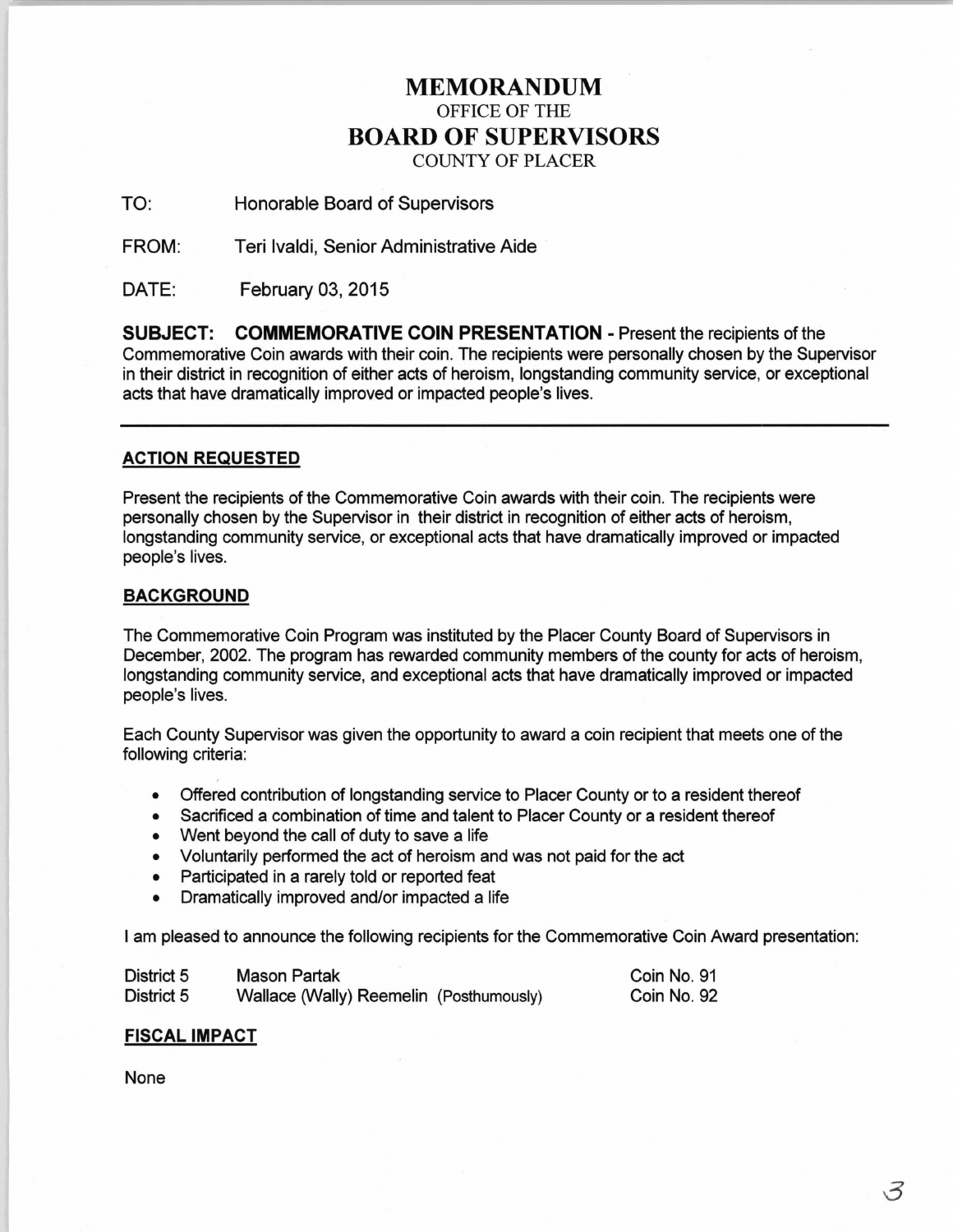# MEMORANDUM OFFICE OF THE BOARD OF SUPERVISORS COUNTY OF PLACER

## TO: Honorable Board of Supervisors

FROM: Teri lvaldi, Senior Administrative Aide

DATE: February 03, 2015

SUBJECT: COMMEMORATIVE COIN PRESENTATION- Present the recipients of the Commemorative Coin awards with their coin. The recipients were personally chosen by the Supervisor in their district in recognition of either acts of heroism, longstanding community service, or exceptional acts that have dramatically improved or impacted people's lives.

### ACTION REQUESTED

Present the recipients of the Commemorative Coin awards with their coin. The recipients were personally chosen by the Supervisor in their district in recognition of either acts of heroism, longstanding community service, or exceptional acts that have dramatically improved or impacted people's lives.

#### BACKGROUND

The Commemorative Coin Program was instituted by the Placer County Board of Supervisors in December, 2002. The program has rewarded community members of the county for acts of heroism, longstanding community service, and exceptional acts that have dramatically improved or impacted people's lives.

Each County Supervisor was given the opportunity to award a coin recipient that meets one of the following criteria:

- Offered contribution of longstanding service to Placer County or to a resident thereof
- Sacrificed a combination of time and talent to Placer County or a resident thereof
- Went beyond the call of duty to save a life
- Voluntarily performed the act of heroism and was not paid for the act
- Participated in a rarely told or reported feat
- Dramatically improved and/or impacted a life

I am pleased to announce the following recipients for the Commemorative Coin Award presentation:

| District 5 | <b>Mason Partak</b>                     | Coin No. 91 |
|------------|-----------------------------------------|-------------|
| District 5 | Wallace (Wally) Reemelin (Posthumously) | Coin No. 92 |

### FISCAL IMPACT

None